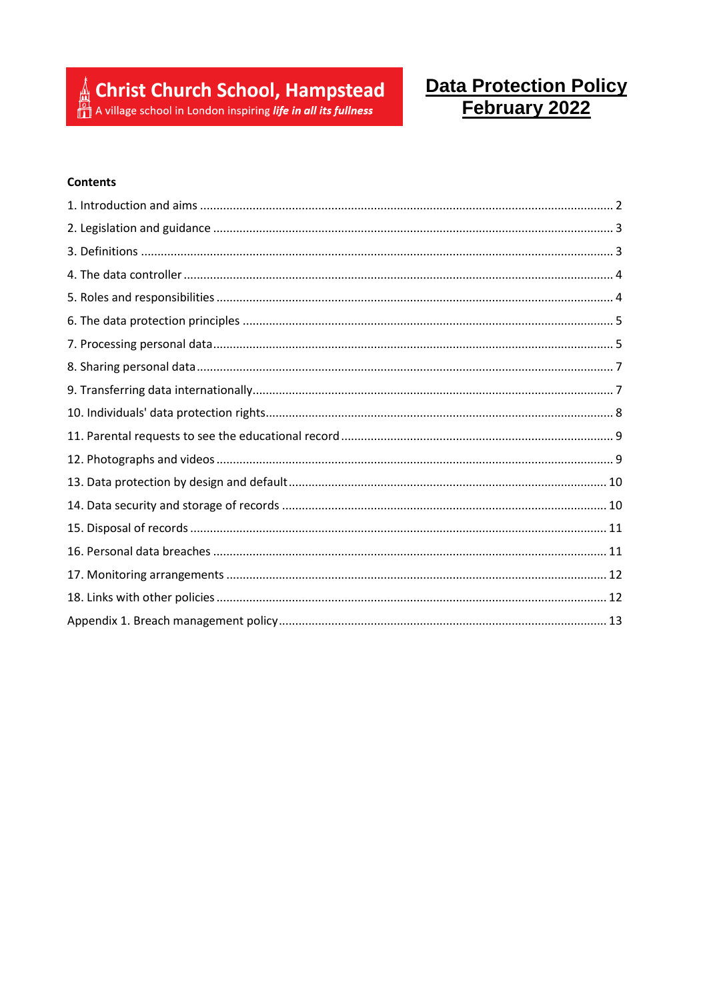Christ Church School, Hampstead

# Data Protection Policy<br>
February 2022

#### **Contents**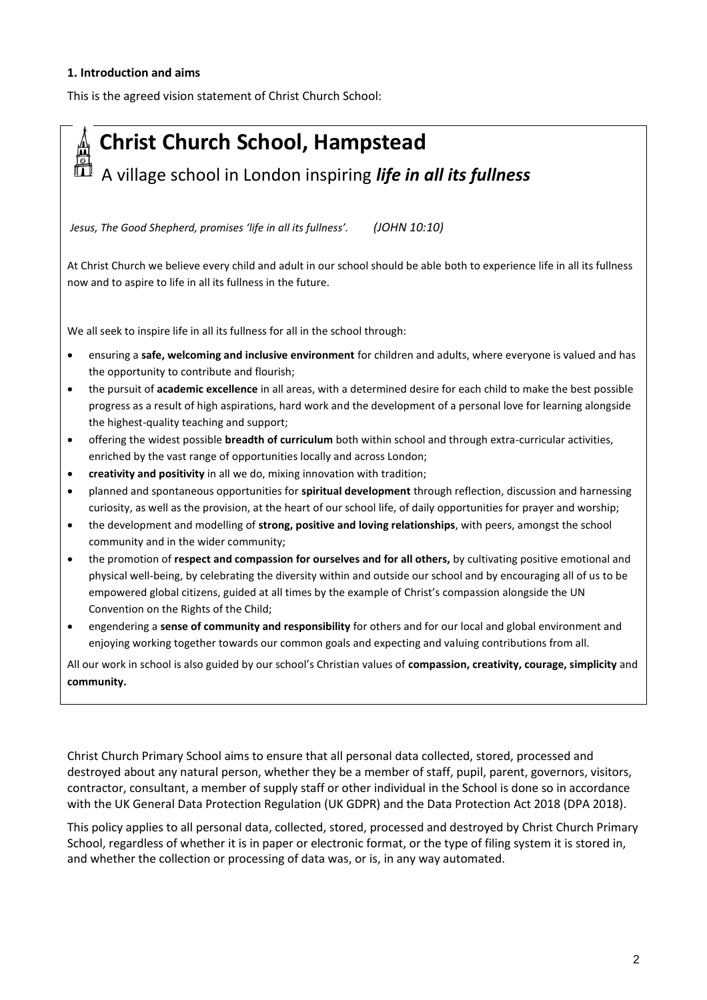#### **1. Introduction and aims**

This is the agreed vision statement of Christ Church School:



- planned and spontaneous opportunities for **spiritual development** through reflection, discussion and harnessing curiosity, as well as the provision, at the heart of our school life, of daily opportunities for prayer and worship;
- the development and modelling of **strong, positive and loving relationships**, with peers, amongst the school community and in the wider community;
- the promotion of **respect and compassion for ourselves and for all others,** by cultivating positive emotional and physical well-being, by celebrating the diversity within and outside our school and by encouraging all of us to be empowered global citizens, guided at all times by the example of Christ's compassion alongside the UN Convention on the Rights of the Child;
- engendering a **sense of community and responsibility** for others and for our local and global environment and enjoying working together towards our common goals and expecting and valuing contributions from all.

All our work in school is also guided by our school's Christian values of **compassion, creativity, courage, simplicity** and **community.**

Christ Church Primary School aims to ensure that all personal data collected, stored, processed and destroyed about any natural person, whether they be a member of staff, pupil, parent, governors, visitors, contractor, consultant, a member of supply staff or other individual in the School is done so in accordance with the UK General Data Protection Regulation (UK GDPR) and the Data Protection Act 2018 (DPA 2018).

This policy applies to all personal data, collected, stored, processed and destroyed by Christ Church Primary School, regardless of whether it is in paper or electronic format, or the type of filing system it is stored in, and whether the collection or processing of data was, or is, in any way automated.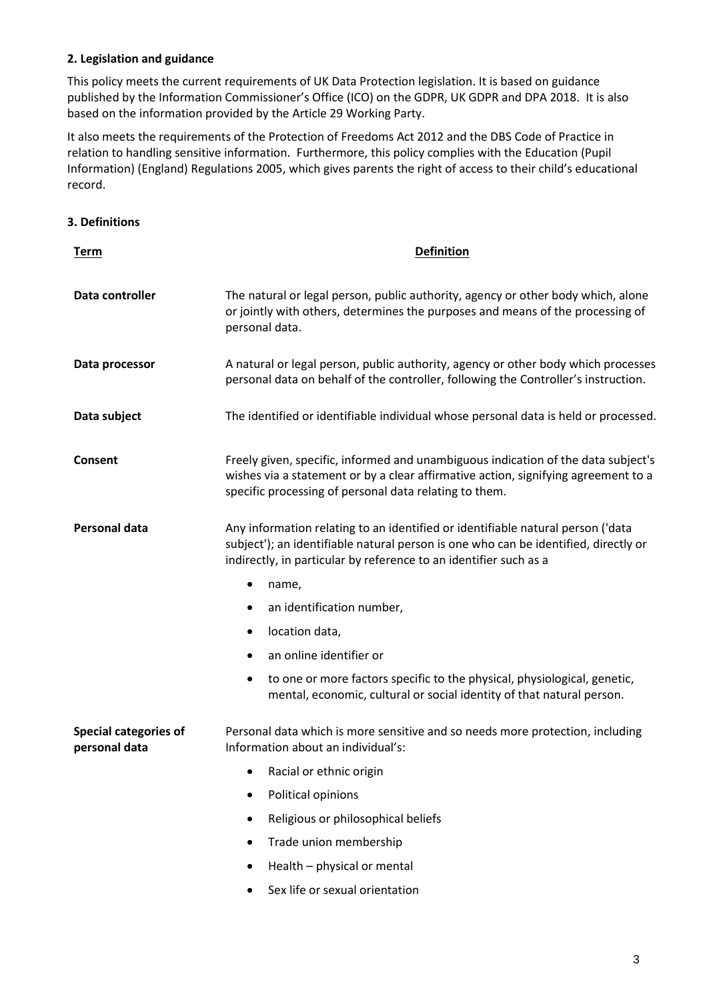# **2. Legislation and guidance**

This policy meets the current requirements of UK Data Protection legislation. It is based on guidance published by the Information Commissioner's Office (ICO) on the GDPR, UK GDPR and DPA 2018. It is also based on the information provided by the Article 29 Working Party.

It also meets the requirements of the Protection of Freedoms Act 2012 and the DBS Code of Practice in relation to handling sensitive information. Furthermore, this policy complies with the Education (Pupil Information) (England) Regulations 2005, which gives parents the right of access to their child's educational record.

# **3. Definitions**

| <u>Term</u>                                   | <b>Definition</b>                                                                                                                                                                                                                           |
|-----------------------------------------------|---------------------------------------------------------------------------------------------------------------------------------------------------------------------------------------------------------------------------------------------|
| Data controller                               | The natural or legal person, public authority, agency or other body which, alone<br>or jointly with others, determines the purposes and means of the processing of<br>personal data.                                                        |
| Data processor                                | A natural or legal person, public authority, agency or other body which processes<br>personal data on behalf of the controller, following the Controller's instruction.                                                                     |
| Data subject                                  | The identified or identifiable individual whose personal data is held or processed.                                                                                                                                                         |
| Consent                                       | Freely given, specific, informed and unambiguous indication of the data subject's<br>wishes via a statement or by a clear affirmative action, signifying agreement to a<br>specific processing of personal data relating to them.           |
| Personal data                                 | Any information relating to an identified or identifiable natural person ('data<br>subject'); an identifiable natural person is one who can be identified, directly or<br>indirectly, in particular by reference to an identifier such as a |
|                                               | name,<br>٠                                                                                                                                                                                                                                  |
|                                               | an identification number,                                                                                                                                                                                                                   |
|                                               | location data,<br>٠                                                                                                                                                                                                                         |
|                                               | an online identifier or<br>٠                                                                                                                                                                                                                |
|                                               | to one or more factors specific to the physical, physiological, genetic,<br>٠<br>mental, economic, cultural or social identity of that natural person.                                                                                      |
| <b>Special categories of</b><br>personal data | Personal data which is more sensitive and so needs more protection, including<br>Information about an individual's:                                                                                                                         |
|                                               | Racial or ethnic origin                                                                                                                                                                                                                     |
|                                               | Political opinions                                                                                                                                                                                                                          |
|                                               | Religious or philosophical beliefs<br>٠                                                                                                                                                                                                     |
|                                               | Trade union membership                                                                                                                                                                                                                      |
|                                               | Health - physical or mental                                                                                                                                                                                                                 |

Sex life or sexual orientation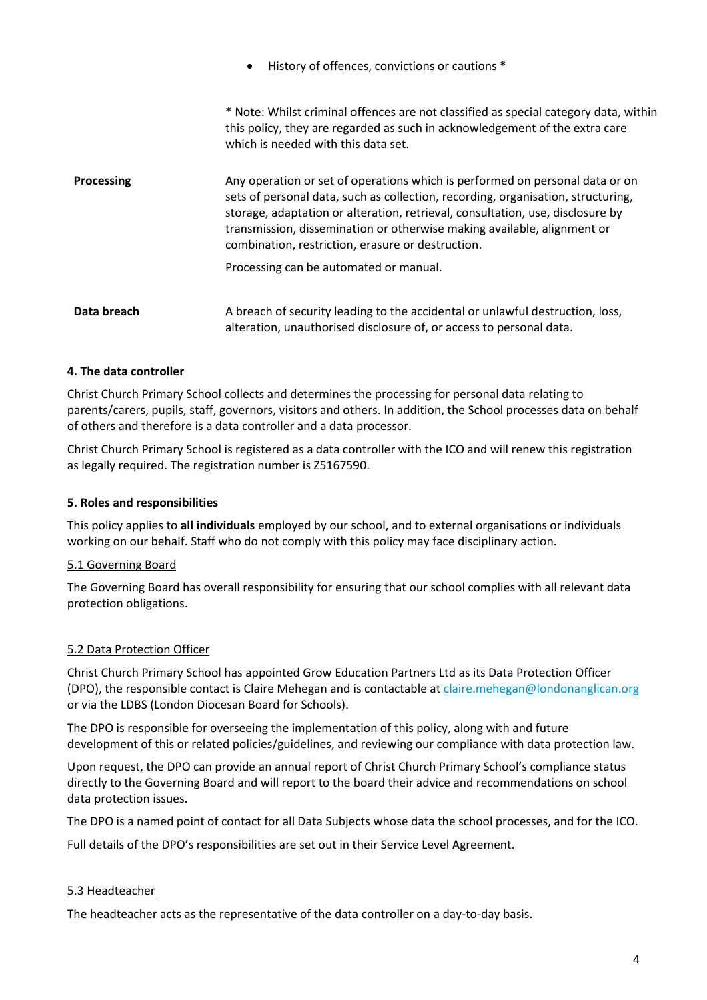|                   | History of offences, convictions or cautions *<br>$\bullet$                                                                                                                                                                                                                                                                                                                        |
|-------------------|------------------------------------------------------------------------------------------------------------------------------------------------------------------------------------------------------------------------------------------------------------------------------------------------------------------------------------------------------------------------------------|
|                   | * Note: Whilst criminal offences are not classified as special category data, within<br>this policy, they are regarded as such in acknowledgement of the extra care<br>which is needed with this data set.                                                                                                                                                                         |
| <b>Processing</b> | Any operation or set of operations which is performed on personal data or on<br>sets of personal data, such as collection, recording, organisation, structuring,<br>storage, adaptation or alteration, retrieval, consultation, use, disclosure by<br>transmission, dissemination or otherwise making available, alignment or<br>combination, restriction, erasure or destruction. |
|                   | Processing can be automated or manual.                                                                                                                                                                                                                                                                                                                                             |
| Data breach       | A breach of security leading to the accidental or unlawful destruction, loss,<br>alteration, unauthorised disclosure of, or access to personal data.                                                                                                                                                                                                                               |

# **4. The data controller**

Christ Church Primary School collects and determines the processing for personal data relating to parents/carers, pupils, staff, governors, visitors and others. In addition, the School processes data on behalf of others and therefore is a data controller and a data processor.

Christ Church Primary School is registered as a data controller with the ICO and will renew this registration as legally required. The registration number is Z5167590.

#### **5. Roles and responsibilities**

This policy applies to **all individuals** employed by our school, and to external organisations or individuals working on our behalf. Staff who do not comply with this policy may face disciplinary action.

#### 5.1 Governing Board

The Governing Board has overall responsibility for ensuring that our school complies with all relevant data protection obligations.

#### 5.2 Data Protection Officer

Christ Church Primary School has appointed Grow Education Partners Ltd as its Data Protection Officer (DPO), the responsible contact is Claire Mehegan and is contactable at [claire.mehegan@londonanglican.org](mailto:claire.mehegan@londonanglican.org) or via the LDBS (London Diocesan Board for Schools).

The DPO is responsible for overseeing the implementation of this policy, along with and future development of this or related policies/guidelines, and reviewing our compliance with data protection law.

Upon request, the DPO can provide an annual report of Christ Church Primary School's compliance status directly to the Governing Board and will report to the board their advice and recommendations on school data protection issues.

The DPO is a named point of contact for all Data Subjects whose data the school processes, and for the ICO.

Full details of the DPO's responsibilities are set out in their Service Level Agreement.

#### 5.3 Headteacher

The headteacher acts as the representative of the data controller on a day-to-day basis.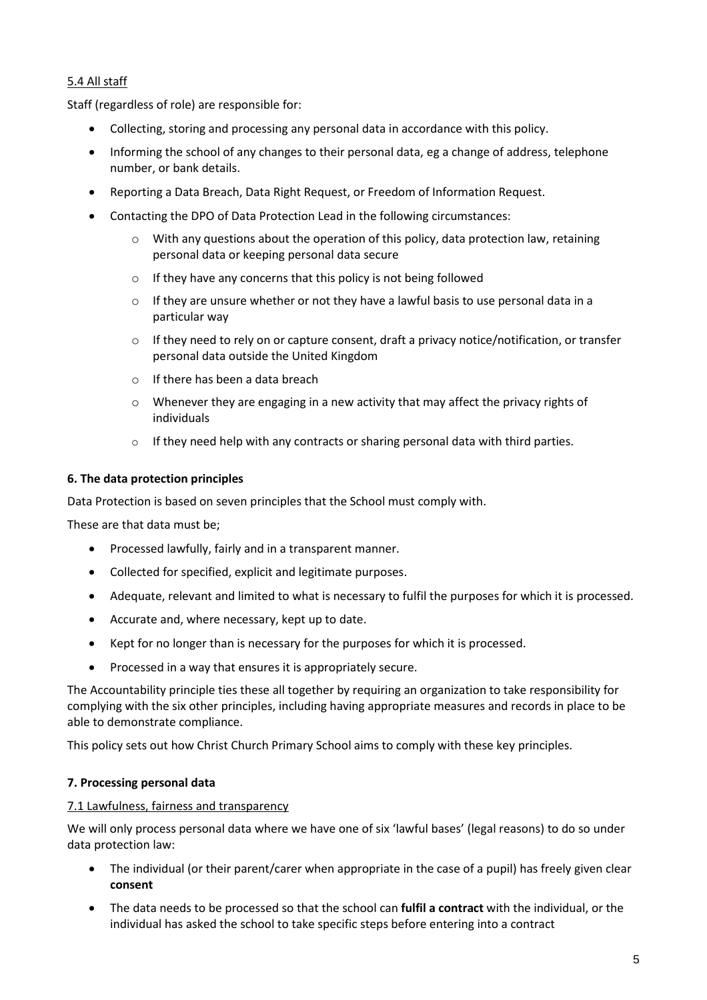# 5.4 All staff

Staff (regardless of role) are responsible for:

- Collecting, storing and processing any personal data in accordance with this policy.
- Informing the school of any changes to their personal data, eg a change of address, telephone number, or bank details.
- Reporting a Data Breach, Data Right Request, or Freedom of Information Request.
- Contacting the DPO of Data Protection Lead in the following circumstances:
	- $\circ$  With any questions about the operation of this policy, data protection law, retaining personal data or keeping personal data secure
	- o If they have any concerns that this policy is not being followed
	- $\circ$  If they are unsure whether or not they have a lawful basis to use personal data in a particular way
	- $\circ$  If they need to rely on or capture consent, draft a privacy notice/notification, or transfer personal data outside the United Kingdom
	- o If there has been a data breach
	- o Whenever they are engaging in a new activity that may affect the privacy rights of individuals
	- o If they need help with any contracts or sharing personal data with third parties.

#### **6. The data protection principles**

Data Protection is based on seven principles that the School must comply with.

These are that data must be;

- Processed lawfully, fairly and in a transparent manner.
- Collected for specified, explicit and legitimate purposes.
- Adequate, relevant and limited to what is necessary to fulfil the purposes for which it is processed.
- Accurate and, where necessary, kept up to date.
- Kept for no longer than is necessary for the purposes for which it is processed.
- Processed in a way that ensures it is appropriately secure.

The Accountability principle ties these all together by requiring an organization to take responsibility for complying with the six other principles, including having appropriate measures and records in place to be able to demonstrate compliance.

This policy sets out how Christ Church Primary School aims to comply with these key principles.

# **7. Processing personal data**

#### 7.1 Lawfulness, fairness and transparency

We will only process personal data where we have one of six 'lawful bases' (legal reasons) to do so under data protection law:

- The individual (or their parent/carer when appropriate in the case of a pupil) has freely given clear **consent**
- The data needs to be processed so that the school can **fulfil a contract** with the individual, or the individual has asked the school to take specific steps before entering into a contract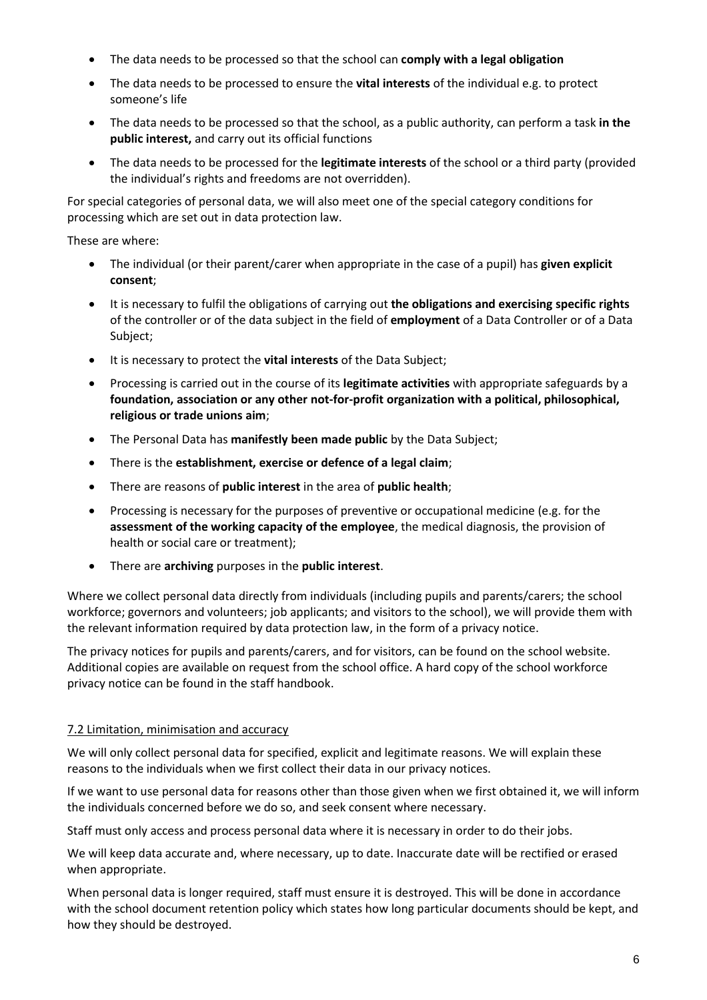- The data needs to be processed so that the school can **comply with a legal obligation**
- The data needs to be processed to ensure the **vital interests** of the individual e.g. to protect someone's life
- The data needs to be processed so that the school, as a public authority, can perform a task **in the public interest,** and carry out its official functions
- The data needs to be processed for the **legitimate interests** of the school or a third party (provided the individual's rights and freedoms are not overridden).

For special categories of personal data, we will also meet one of the special category conditions for processing which are set out in data protection law.

These are where:

- The individual (or their parent/carer when appropriate in the case of a pupil) has **given explicit consent**;
- It is necessary to fulfil the obligations of carrying out **the obligations and exercising specific rights** of the controller or of the data subject in the field of **employment** of a Data Controller or of a Data Subject;
- It is necessary to protect the **vital interests** of the Data Subject;
- Processing is carried out in the course of its **legitimate activities** with appropriate safeguards by a **foundation, association or any other not-for-profit organization with a political, philosophical, religious or trade unions aim**;
- The Personal Data has **manifestly been made public** by the Data Subject;
- There is the **establishment, exercise or defence of a legal claim**;
- There are reasons of **public interest** in the area of **public health**;
- Processing is necessary for the purposes of preventive or occupational medicine (e.g. for the **assessment of the working capacity of the employee**, the medical diagnosis, the provision of health or social care or treatment);
- There are **archiving** purposes in the **public interest**.

Where we collect personal data directly from individuals (including pupils and parents/carers; the school workforce; governors and volunteers; job applicants; and visitors to the school), we will provide them with the relevant information required by data protection law, in the form of a privacy notice.

The privacy notices for pupils and parents/carers, and for visitors, can be found on the school website. Additional copies are available on request from the school office. A hard copy of the school workforce privacy notice can be found in the staff handbook.

# 7.2 Limitation, minimisation and accuracy

We will only collect personal data for specified, explicit and legitimate reasons. We will explain these reasons to the individuals when we first collect their data in our privacy notices.

If we want to use personal data for reasons other than those given when we first obtained it, we will inform the individuals concerned before we do so, and seek consent where necessary.

Staff must only access and process personal data where it is necessary in order to do their jobs.

We will keep data accurate and, where necessary, up to date. Inaccurate date will be rectified or erased when appropriate.

When personal data is longer required, staff must ensure it is destroyed. This will be done in accordance with the school document retention policy which states how long particular documents should be kept, and how they should be destroyed.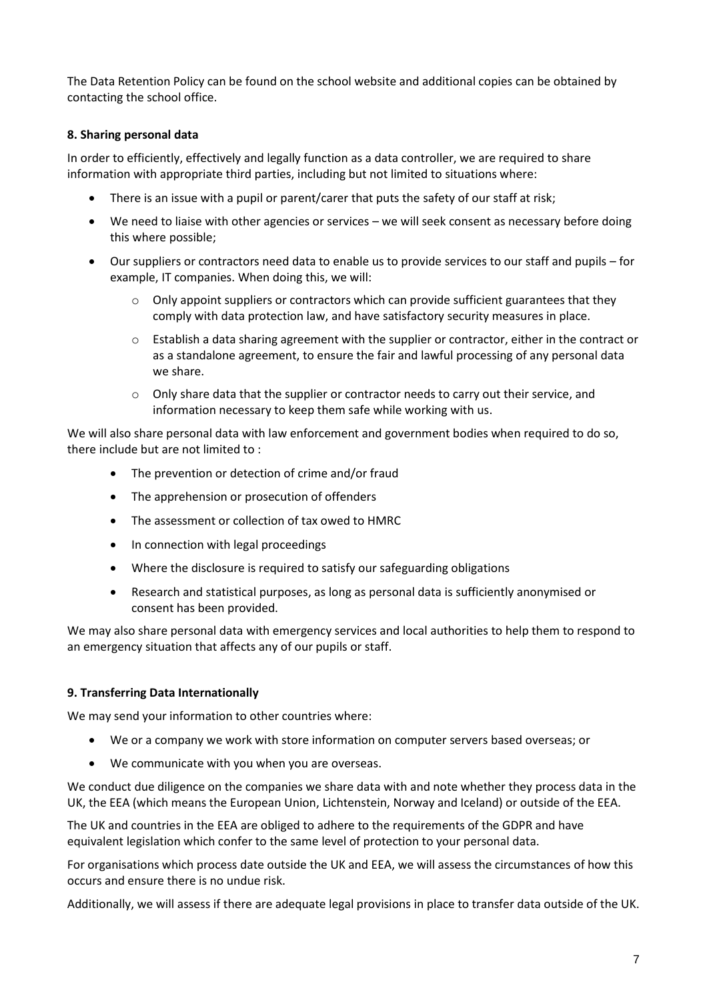The Data Retention Policy can be found on the school website and additional copies can be obtained by contacting the school office.

# **8. Sharing personal data**

In order to efficiently, effectively and legally function as a data controller, we are required to share information with appropriate third parties, including but not limited to situations where:

- There is an issue with a pupil or parent/carer that puts the safety of our staff at risk;
- We need to liaise with other agencies or services we will seek consent as necessary before doing this where possible;
- Our suppliers or contractors need data to enable us to provide services to our staff and pupils for example, IT companies. When doing this, we will:
	- o Only appoint suppliers or contractors which can provide sufficient guarantees that they comply with data protection law, and have satisfactory security measures in place.
	- $\circ$  Establish a data sharing agreement with the supplier or contractor, either in the contract or as a standalone agreement, to ensure the fair and lawful processing of any personal data we share.
	- $\circ$  Only share data that the supplier or contractor needs to carry out their service, and information necessary to keep them safe while working with us.

We will also share personal data with law enforcement and government bodies when required to do so, there include but are not limited to :

- The prevention or detection of crime and/or fraud
- The apprehension or prosecution of offenders
- The assessment or collection of tax owed to HMRC
- In connection with legal proceedings
- Where the disclosure is required to satisfy our safeguarding obligations
- Research and statistical purposes, as long as personal data is sufficiently anonymised or consent has been provided.

We may also share personal data with emergency services and local authorities to help them to respond to an emergency situation that affects any of our pupils or staff.

#### **9. Transferring Data Internationally**

We may send your information to other countries where:

- We or a company we work with store information on computer servers based overseas; or
- We communicate with you when you are overseas.

We conduct due diligence on the companies we share data with and note whether they process data in the UK, the EEA (which means the European Union, Lichtenstein, Norway and Iceland) or outside of the EEA.

The UK and countries in the EEA are obliged to adhere to the requirements of the GDPR and have equivalent legislation which confer to the same level of protection to your personal data.

For organisations which process date outside the UK and EEA, we will assess the circumstances of how this occurs and ensure there is no undue risk.

Additionally, we will assess if there are adequate legal provisions in place to transfer data outside of the UK.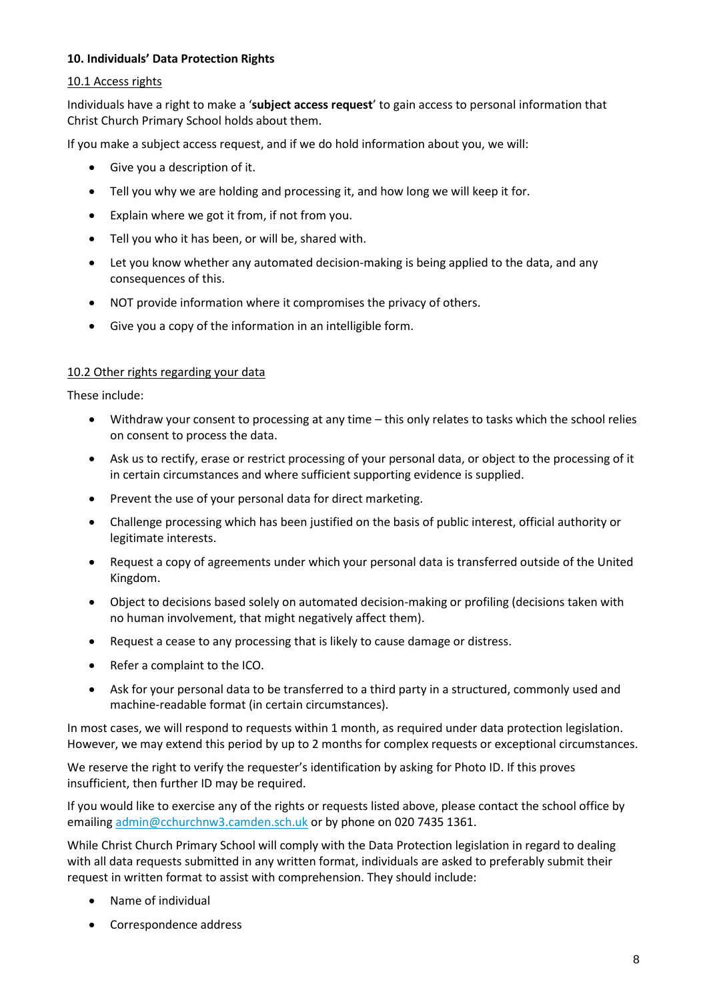# **10. Individuals' Data Protection Rights**

#### 10.1 Access rights

Individuals have a right to make a '**subject access request**' to gain access to personal information that Christ Church Primary School holds about them.

If you make a subject access request, and if we do hold information about you, we will:

- Give you a description of it.
- Tell you why we are holding and processing it, and how long we will keep it for.
- Explain where we got it from, if not from you.
- Tell you who it has been, or will be, shared with.
- Let you know whether any automated decision-making is being applied to the data, and any consequences of this.
- NOT provide information where it compromises the privacy of others.
- Give you a copy of the information in an intelligible form.

#### 10.2 Other rights regarding your data

These include:

- Withdraw your consent to processing at any time this only relates to tasks which the school relies on consent to process the data.
- Ask us to rectify, erase or restrict processing of your personal data, or object to the processing of it in certain circumstances and where sufficient supporting evidence is supplied.
- Prevent the use of your personal data for direct marketing.
- Challenge processing which has been justified on the basis of public interest, official authority or legitimate interests.
- Request a copy of agreements under which your personal data is transferred outside of the United Kingdom.
- Object to decisions based solely on automated decision-making or profiling (decisions taken with no human involvement, that might negatively affect them).
- Request a cease to any processing that is likely to cause damage or distress.
- Refer a complaint to the ICO.
- Ask for your personal data to be transferred to a third party in a structured, commonly used and machine-readable format (in certain circumstances).

In most cases, we will respond to requests within 1 month, as required under data protection legislation. However, we may extend this period by up to 2 months for complex requests or exceptional circumstances.

We reserve the right to verify the requester's identification by asking for Photo ID. If this proves insufficient, then further ID may be required.

If you would like to exercise any of the rights or requests listed above, please contact the school office by emailing [admin@cchurchnw3.camden.sch.uk](mailto:admin@cchurchnw3.camden.sch.uk) or by phone on 020 7435 1361.

While Christ Church Primary School will comply with the Data Protection legislation in regard to dealing with all data requests submitted in any written format, individuals are asked to preferably submit their request in written format to assist with comprehension. They should include:

- Name of individual
- Correspondence address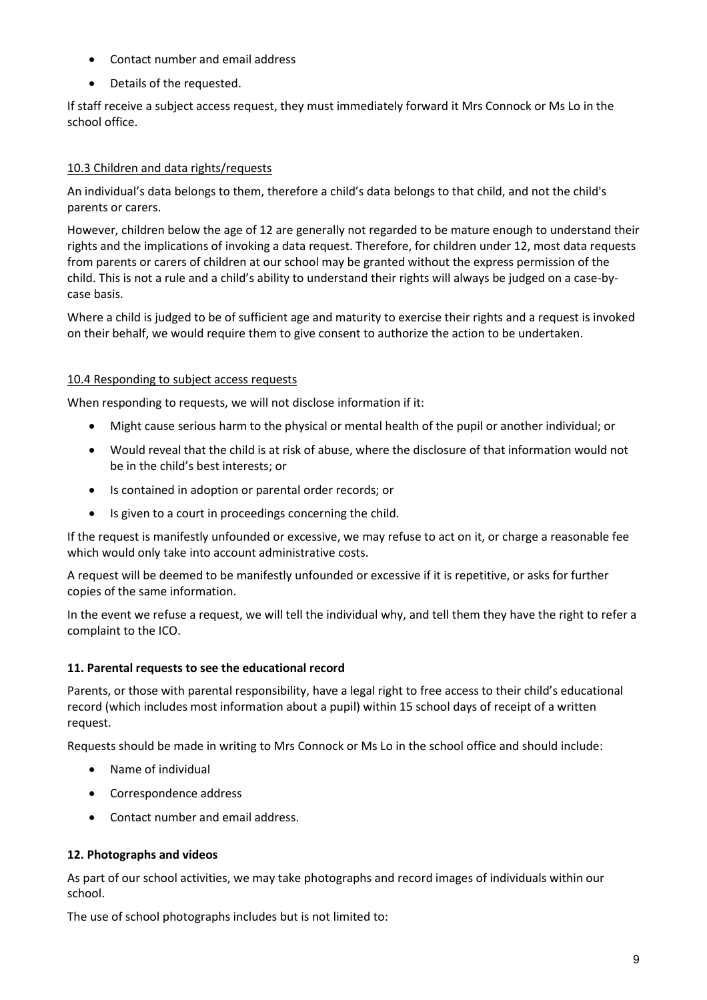- Contact number and email address
- Details of the requested.

If staff receive a subject access request, they must immediately forward it Mrs Connock or Ms Lo in the school office.

# 10.3 Children and data rights/requests

An individual's data belongs to them, therefore a child's data belongs to that child, and not the child's parents or carers.

However, children below the age of 12 are generally not regarded to be mature enough to understand their rights and the implications of invoking a data request. Therefore, for children under 12, most data requests from parents or carers of children at our school may be granted without the express permission of the child. This is not a rule and a child's ability to understand their rights will always be judged on a case-bycase basis.

Where a child is judged to be of sufficient age and maturity to exercise their rights and a request is invoked on their behalf, we would require them to give consent to authorize the action to be undertaken.

# 10.4 Responding to subject access requests

When responding to requests, we will not disclose information if it:

- Might cause serious harm to the physical or mental health of the pupil or another individual; or
- Would reveal that the child is at risk of abuse, where the disclosure of that information would not be in the child's best interests; or
- Is contained in adoption or parental order records; or
- Is given to a court in proceedings concerning the child.

If the request is manifestly unfounded or excessive, we may refuse to act on it, or charge a reasonable fee which would only take into account administrative costs.

A request will be deemed to be manifestly unfounded or excessive if it is repetitive, or asks for further copies of the same information.

In the event we refuse a request, we will tell the individual why, and tell them they have the right to refer a complaint to the ICO.

# **11. Parental requests to see the educational record**

Parents, or those with parental responsibility, have a legal right to free access to their child's educational record (which includes most information about a pupil) within 15 school days of receipt of a written request.

Requests should be made in writing to Mrs Connock or Ms Lo in the school office and should include:

- Name of individual
- Correspondence address
- Contact number and email address.

# **12. Photographs and videos**

As part of our school activities, we may take photographs and record images of individuals within our school.

The use of school photographs includes but is not limited to: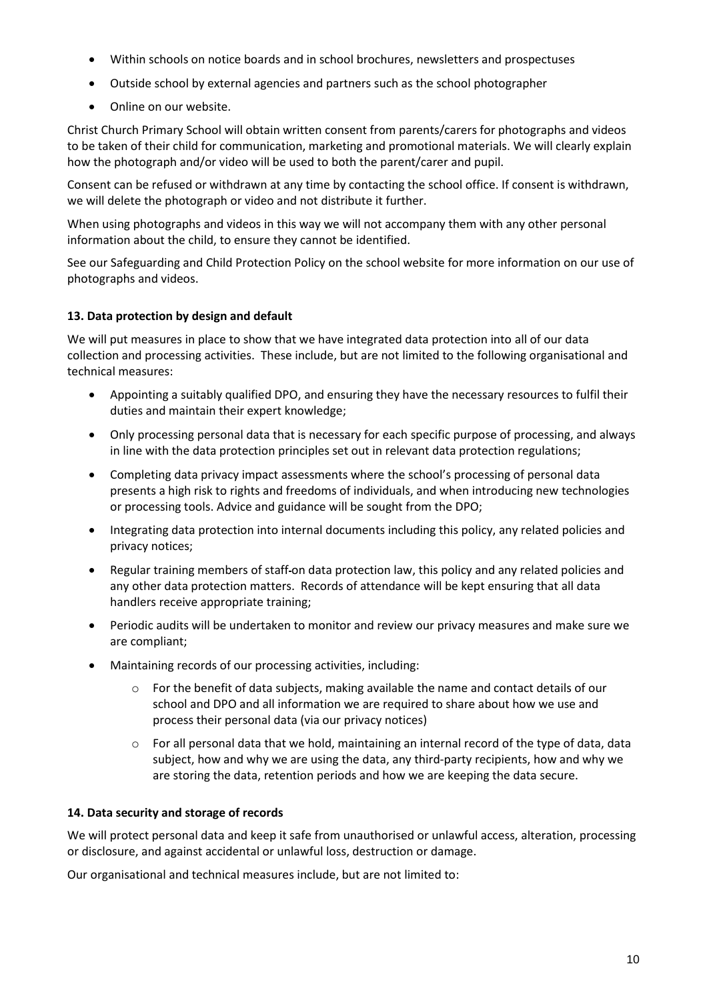- Within schools on notice boards and in school brochures, newsletters and prospectuses
- Outside school by external agencies and partners such as the school photographer
- Online on our website.

Christ Church Primary School will obtain written consent from parents/carers for photographs and videos to be taken of their child for communication, marketing and promotional materials. We will clearly explain how the photograph and/or video will be used to both the parent/carer and pupil.

Consent can be refused or withdrawn at any time by contacting the school office. If consent is withdrawn, we will delete the photograph or video and not distribute it further.

When using photographs and videos in this way we will not accompany them with any other personal information about the child, to ensure they cannot be identified.

See our Safeguarding and Child Protection Policy on the school website for more information on our use of photographs and videos.

# **13. Data protection by design and default**

We will put measures in place to show that we have integrated data protection into all of our data collection and processing activities. These include, but are not limited to the following organisational and technical measures:

- Appointing a suitably qualified DPO, and ensuring they have the necessary resources to fulfil their duties and maintain their expert knowledge;
- Only processing personal data that is necessary for each specific purpose of processing, and always in line with the data protection principles set out in relevant data protection regulations;
- Completing data privacy impact assessments where the school's processing of personal data presents a high risk to rights and freedoms of individuals, and when introducing new technologies or processing tools. Advice and guidance will be sought from the DPO;
- Integrating data protection into internal documents including this policy, any related policies and privacy notices;
- Regular training members of staff on data protection law, this policy and any related policies and any other data protection matters. Records of attendance will be kept ensuring that all data handlers receive appropriate training;
- Periodic audits will be undertaken to monitor and review our privacy measures and make sure we are compliant;
- Maintaining records of our processing activities, including:
	- $\circ$  For the benefit of data subjects, making available the name and contact details of our school and DPO and all information we are required to share about how we use and process their personal data (via our privacy notices)
	- $\circ$  For all personal data that we hold, maintaining an internal record of the type of data, data subject, how and why we are using the data, any third-party recipients, how and why we are storing the data, retention periods and how we are keeping the data secure.

# **14. Data security and storage of records**

We will protect personal data and keep it safe from unauthorised or unlawful access, alteration, processing or disclosure, and against accidental or unlawful loss, destruction or damage.

Our organisational and technical measures include, but are not limited to: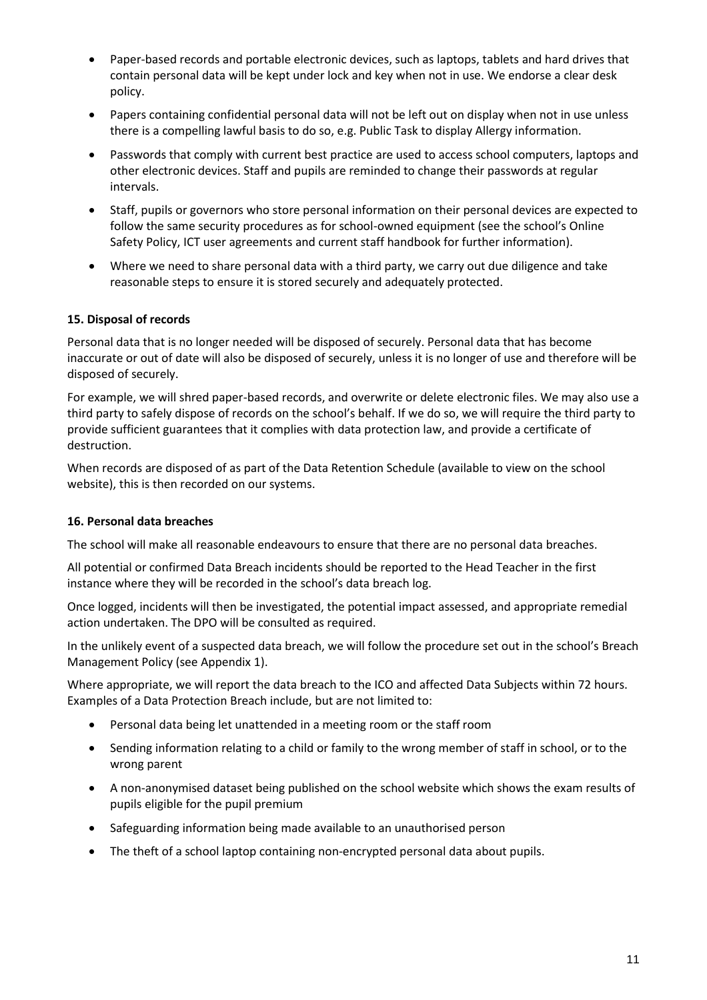- Paper-based records and portable electronic devices, such as laptops, tablets and hard drives that contain personal data will be kept under lock and key when not in use. We endorse a clear desk policy.
- Papers containing confidential personal data will not be left out on display when not in use unless there is a compelling lawful basis to do so, e.g. Public Task to display Allergy information.
- Passwords that comply with current best practice are used to access school computers, laptops and other electronic devices. Staff and pupils are reminded to change their passwords at regular intervals.
- Staff, pupils or governors who store personal information on their personal devices are expected to follow the same security procedures as for school-owned equipment (see the school's Online Safety Policy, ICT user agreements and current staff handbook for further information).
- Where we need to share personal data with a third party, we carry out due diligence and take reasonable steps to ensure it is stored securely and adequately protected.

# **15. Disposal of records**

Personal data that is no longer needed will be disposed of securely. Personal data that has become inaccurate or out of date will also be disposed of securely, unless it is no longer of use and therefore will be disposed of securely.

For example, we will shred paper-based records, and overwrite or delete electronic files. We may also use a third party to safely dispose of records on the school's behalf. If we do so, we will require the third party to provide sufficient guarantees that it complies with data protection law, and provide a certificate of destruction.

When records are disposed of as part of the Data Retention Schedule (available to view on the school website), this is then recorded on our systems.

#### **16. Personal data breaches**

The school will make all reasonable endeavours to ensure that there are no personal data breaches.

All potential or confirmed Data Breach incidents should be reported to the Head Teacher in the first instance where they will be recorded in the school's data breach log.

Once logged, incidents will then be investigated, the potential impact assessed, and appropriate remedial action undertaken. The DPO will be consulted as required.

In the unlikely event of a suspected data breach, we will follow the procedure set out in the school's Breach Management Policy (see Appendix 1).

Where appropriate, we will report the data breach to the ICO and affected Data Subjects within 72 hours. Examples of a Data Protection Breach include, but are not limited to:

- Personal data being let unattended in a meeting room or the staff room
- Sending information relating to a child or family to the wrong member of staff in school, or to the wrong parent
- A non-anonymised dataset being published on the school website which shows the exam results of pupils eligible for the pupil premium
- Safeguarding information being made available to an unauthorised person
- The theft of a school laptop containing non-encrypted personal data about pupils.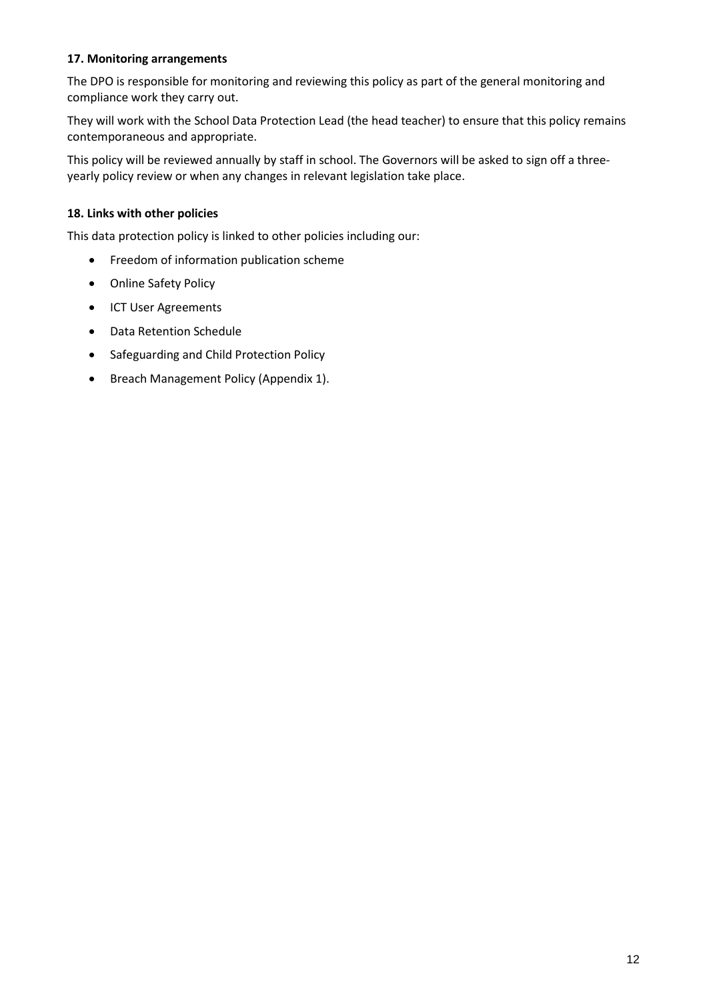# **17. Monitoring arrangements**

The DPO is responsible for monitoring and reviewing this policy as part of the general monitoring and compliance work they carry out.

They will work with the School Data Protection Lead (the head teacher) to ensure that this policy remains contemporaneous and appropriate.

This policy will be reviewed annually by staff in school. The Governors will be asked to sign off a threeyearly policy review or when any changes in relevant legislation take place.

# **18. Links with other policies**

This data protection policy is linked to other policies including our:

- **•** Freedom of information publication scheme
- Online Safety Policy
- ICT User Agreements
- Data Retention Schedule
- Safeguarding and Child Protection Policy
- Breach Management Policy (Appendix 1).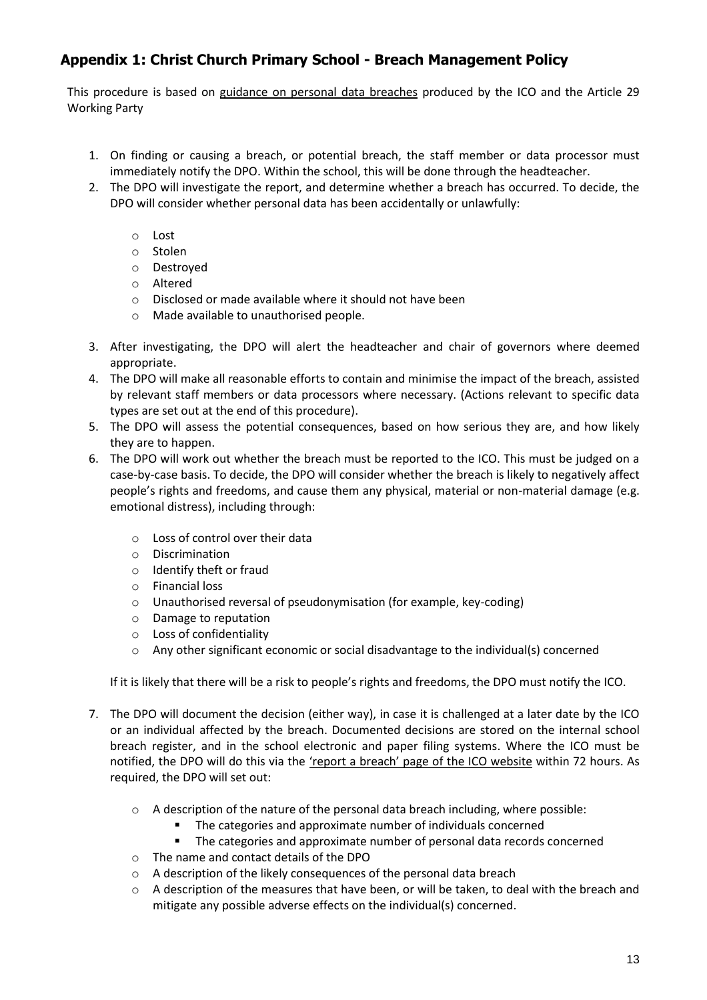# **Appendix 1: Christ Church Primary School - Breach Management Policy**

This procedure is based on [guidance on personal data breaches](https://ico.org.uk/for-organisations/guide-to-the-general-data-protection-regulation-gdpr/personal-data-breaches/) produced by the ICO and the Article 29 Working Party

- 1. On finding or causing a breach, or potential breach, the staff member or data processor must immediately notify the DPO. Within the school, this will be done through the headteacher.
- 2. The DPO will investigate the report, and determine whether a breach has occurred. To decide, the DPO will consider whether personal data has been accidentally or unlawfully:
	- o Lost
	- o Stolen
	- o Destroyed
	- o Altered
	- o Disclosed or made available where it should not have been
	- o Made available to unauthorised people.
- 3. After investigating, the DPO will alert the headteacher and chair of governors where deemed appropriate.
- 4. The DPO will make all reasonable efforts to contain and minimise the impact of the breach, assisted by relevant staff members or data processors where necessary. (Actions relevant to specific data types are set out at the end of this procedure).
- 5. The DPO will assess the potential consequences, based on how serious they are, and how likely they are to happen.
- 6. The DPO will work out whether the breach must be reported to the ICO. This must be judged on a case-by-case basis. To decide, the DPO will consider whether the breach is likely to negatively affect people's rights and freedoms, and cause them any physical, material or non-material damage (e.g. emotional distress), including through:
	- o Loss of control over their data
	- o Discrimination
	- o Identify theft or fraud
	- o Financial loss
	- o Unauthorised reversal of pseudonymisation (for example, key-coding)
	- o Damage to reputation
	- o Loss of confidentiality
	- $\circ$  Any other significant economic or social disadvantage to the individual(s) concerned

If it is likely that there will be a risk to people's rights and freedoms, the DPO must notify the ICO.

- 7. The DPO will document the decision (either way), in case it is challenged at a later date by the ICO or an individual affected by the breach. Documented decisions are stored on the internal school breach register, and in the school electronic and paper filing systems. Where the ICO must be notified, the DPO will do this via the ['report a breach' page of the ICO website](https://ico.org.uk/for-organisations/report-a-breach/) within 72 hours. As required, the DPO will set out:
	- $\circ$  A description of the nature of the personal data breach including, where possible:
		- The categories and approximate number of individuals concerned
		- The categories and approximate number of personal data records concerned
	- o The name and contact details of the DPO
	- o A description of the likely consequences of the personal data breach
	- $\circ$  A description of the measures that have been, or will be taken, to deal with the breach and mitigate any possible adverse effects on the individual(s) concerned.